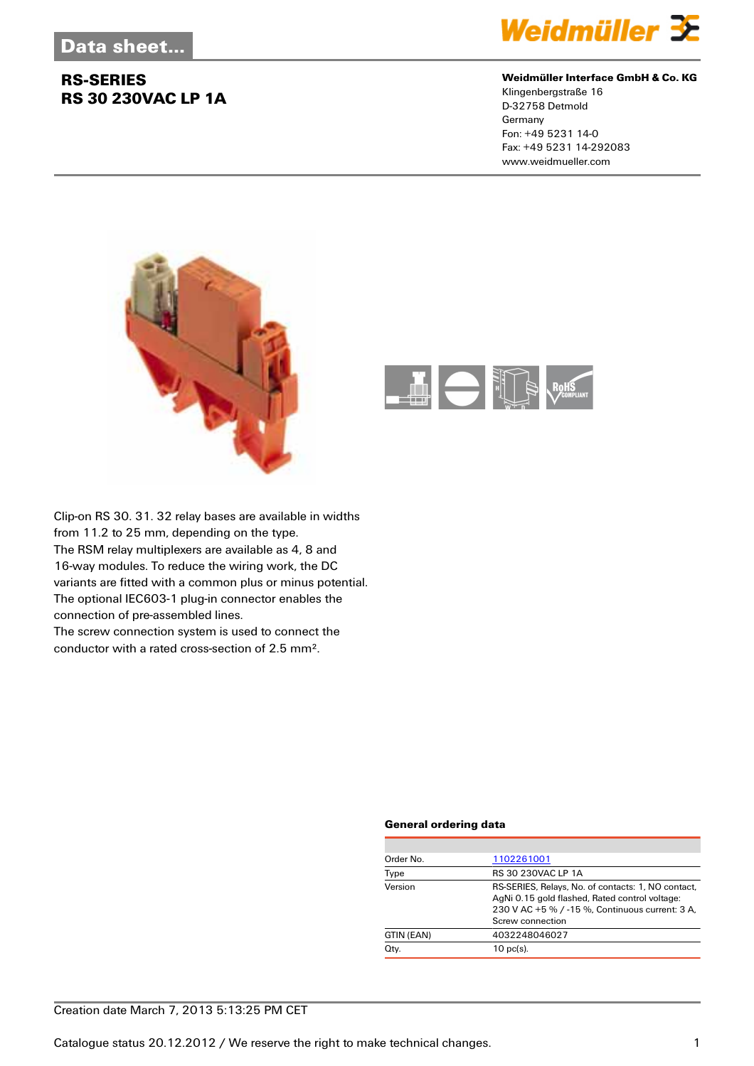### **RS-SERIES RS 30 230VAC LP 1A**



#### **Weidmüller Interface GmbH & Co. KG**

Klingenbergstraße 16 D-32758 Detmold Germany Fon: +49 5231 14-0 Fax: +49 5231 14-292083 www.weidmueller.com





Clip-on RS 30. 31. 32 relay bases are available in widths from 11.2 to 25 mm, depending on the type. The RSM relay multiplexers are available as 4, 8 and 16-way modules. To reduce the wiring work, the DC variants are fitted with a common plus or minus potential. The optional IEC603-1 plug-in connector enables the connection of pre-assembled lines.

The screw connection system is used to connect the conductor with a rated cross-section of 2.5 mm².

#### **General ordering data**

| Order No.  | 1102261001                                                                                                                                                                  |
|------------|-----------------------------------------------------------------------------------------------------------------------------------------------------------------------------|
| Type       | RS 30 230VAC LP 1A                                                                                                                                                          |
| Version    | RS-SERIES, Relays, No. of contacts: 1, NO contact,<br>AgNi 0.15 gold flashed, Rated control voltage:<br>230 V AC +5 % / -15 %, Continuous current: 3 A,<br>Screw connection |
| GTIN (EAN) | 4032248046027                                                                                                                                                               |
| Qty.       | $10$ pc(s).                                                                                                                                                                 |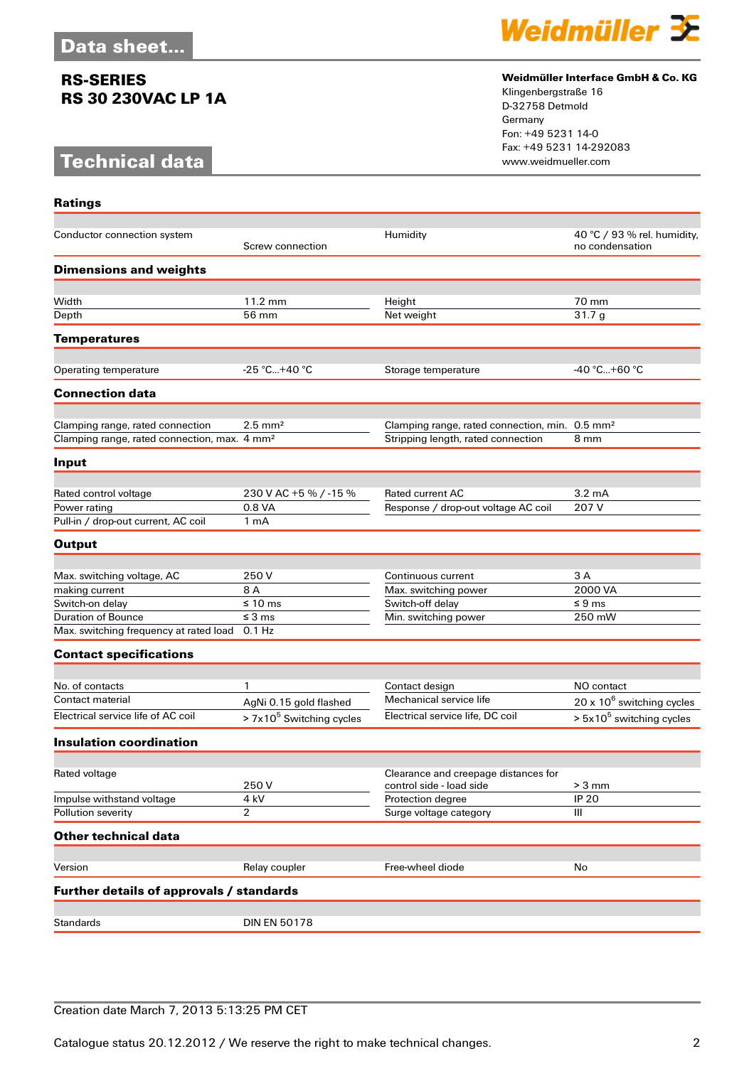### **RS-SERIES RS 30 230VAC LP 1A**

## **Technical data**



#### **Weidmüller Interface GmbH & Co. KG**

Klingenbergstraße 16 D-32758 Detmold Germany Fon: +49 5231 14-0 Fax: +49 5231 14-292083

| <b>Ratings</b>                                           |                            |                                                            |                                                |
|----------------------------------------------------------|----------------------------|------------------------------------------------------------|------------------------------------------------|
| Conductor connection system                              | Screw connection           | Humidity                                                   | 40 °C / 93 % rel. humidity,<br>no condensation |
| <b>Dimensions and weights</b>                            |                            |                                                            |                                                |
| Width                                                    | 11.2 mm                    | Height                                                     | 70 mm                                          |
| Depth                                                    | 56 mm                      | Net weight                                                 | 31.7g                                          |
| <b>Temperatures</b>                                      |                            |                                                            |                                                |
| Operating temperature                                    | $-25 °C+40 °C$             | Storage temperature                                        | -40 °C…+60 °C                                  |
| <b>Connection data</b>                                   |                            |                                                            |                                                |
| Clamping range, rated connection                         | $2.5 \text{ mm}^2$         | Clamping range, rated connection, min. 0.5 mm <sup>2</sup> |                                                |
| Clamping range, rated connection, max. 4 mm <sup>2</sup> |                            | Stripping length, rated connection                         | 8 mm                                           |
| Input                                                    |                            |                                                            |                                                |
| Rated control voltage                                    | 230 V AC +5 % / -15 %      | Rated current AC                                           | $3.2 \text{ mA}$                               |
| Power rating                                             | 0.8 VA                     | Response / drop-out voltage AC coil                        | 207 V                                          |
| Pull-in / drop-out current, AC coil                      | 1 <sub>m</sub> A           |                                                            |                                                |
| <b>Output</b>                                            |                            |                                                            |                                                |
|                                                          |                            |                                                            |                                                |
| Max. switching voltage, AC                               | 250 V                      | Continuous current                                         | 3 A                                            |
| making current                                           | 8 A                        | Max. switching power                                       | 2000 VA                                        |
| Switch-on delay                                          | $\leq 10 \text{ ms}$       | Switch-off delay                                           | $\leq 9$ ms                                    |
| <b>Duration of Bounce</b>                                | $\leq$ 3 ms                | Min. switching power                                       | 250 mW                                         |
| Max. switching frequency at rated load                   | $0.1$ Hz                   |                                                            |                                                |
| <b>Contact specifications</b>                            |                            |                                                            |                                                |
| No. of contacts                                          | 1                          |                                                            | NO contact                                     |
| Contact material                                         |                            | Contact design<br>Mechanical service life                  |                                                |
| Electrical service life of AC coil                       | AgNi 0.15 gold flashed     | Electrical service life, DC coil                           | $20 \times 10^6$ switching cycles              |
|                                                          | $> 7x105$ Switching cycles |                                                            | $> 5x105$ switching cycles                     |
| <b>Insulation coordination</b>                           |                            |                                                            |                                                |
| Rated voltage                                            |                            | Clearance and creepage distances for                       |                                                |
|                                                          | 250V                       | control side - load side                                   | $> 3$ mm                                       |
| Impulse withstand voltage                                | 4 kV                       | Protection degree                                          | <b>IP 20</b>                                   |
| Pollution severity                                       | 2                          | Surge voltage category                                     | Ш                                              |
| <b>Other technical data</b>                              |                            |                                                            |                                                |
| Version                                                  | Relay coupler              | Free-wheel diode                                           | No                                             |
| Further details of approvals / standards                 |                            |                                                            |                                                |
|                                                          |                            |                                                            |                                                |
| <b>Standards</b>                                         | <b>DIN EN 50178</b>        |                                                            |                                                |

### Creation date March 7, 2013 5:13:25 PM CET